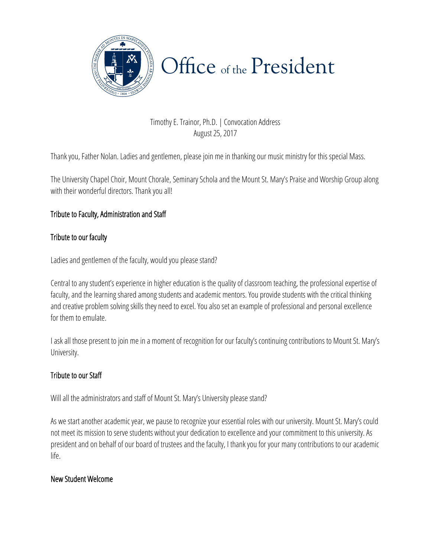

Timothy E. Trainor, Ph.D. | Convocation Address August 25, 2017

Thank you, Father Nolan. Ladies and gentlemen, please join me in thanking our music ministry for this special Mass.

The University Chapel Choir, Mount Chorale, Seminary Schola and the Mount St. Mary's Praise and Worship Group along with their wonderful directors. Thank you all!

### Tribute to Faculty, Administration and Staff

#### Tribute to our faculty

Ladies and gentlemen of the faculty, would you please stand?

Central to any student's experience in higher education is the quality of classroom teaching, the professional expertise of faculty, and the learning shared among students and academic mentors. You provide students with the critical thinking and creative problem solving skills they need to excel. You also set an example of professional and personal excellence for them to emulate.

I ask all those present to join me in a moment of recognition for our faculty's continuing contributions to Mount St. Mary's University.

#### Tribute to our Staff

Will all the administrators and staff of Mount St. Mary's University please stand?

president and on behalf of our board of trustees and the faculty, I thank you for your many contributions to our academic As we start another academic year, we pause to recognize your essential roles with our university. Mount St. Mary's could not meet its mission to serve students without your dedication to excellence and your commitment to this university. As life.

#### New Student Welcome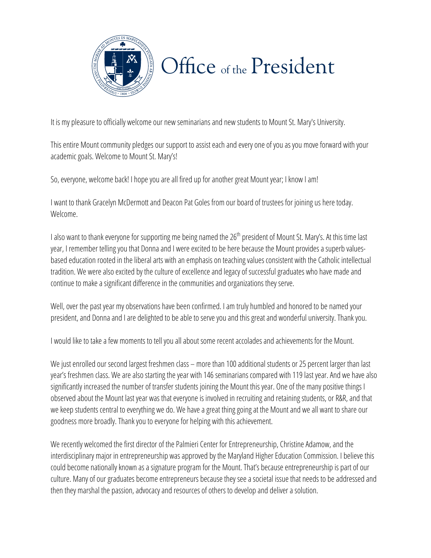

It is my pleasure to officially welcome our new seminarians and new students to Mount St. Mary's University.

This entire Mount community pledges our support to assist each and every one of you as you move forward with your academic goals. Welcome to Mount St. Mary's!

So, everyone, welcome back! I hope you are all fired up for another great Mount year; I know I am!

I want to thank Gracelyn McDermott and Deacon Pat Goles from our board of trustees for joining us here today. Welcome.

I also want to thank everyone for supporting me being named the  $26<sup>th</sup>$  president of Mount St. Mary's. At this time last year, I remember telling you that Donna and I were excited to be here because the Mount provides a superb valuesbased education rooted in the liberal arts with an emphasis on teaching values consistent with the Catholic intellectual tradition. We were also excited by the culture of excellence and legacy of successful graduates who have made and continue to make a significant difference in the communities and organizations they serve.

Well, over the past year my observations have been confirmed. I am truly humbled and honored to be named your president, and Donna and I are delighted to be able to serve you and this great and wonderful university. Thank you.

I would like to take a few moments to tell you all about some recent accolades and achievements for the Mount.

We just enrolled our second largest freshmen class – more than 100 additional students or 25 percent larger than last year's freshmen class. We are also starting the year with 146 seminarians compared with 119 last year. And we have also significantly increased the number of transfer students joining the Mount this year. One of the many positive things I observed about the Mount last year was that everyone is involved in recruiting and retaining students, or R&R, and that we keep students central to everything we do. We have a great thing going at the Mount and we all want to share our goodness more broadly. Thank you to everyone for helping with this achievement.

We recently welcomed the first director of the Palmieri Center for Entrepreneurship, Christine Adamow, and the could become nationally known as a signature program for the Mount. That's because entrepreneurship is part of our interdisciplinary major in entrepreneurship was approved by the Maryland Higher Education Commission. I believe this culture. Many of our graduates become entrepreneurs because they see a societal issue that needs to be addressed and then they marshal the passion, advocacy and resources of others to develop and deliver a solution.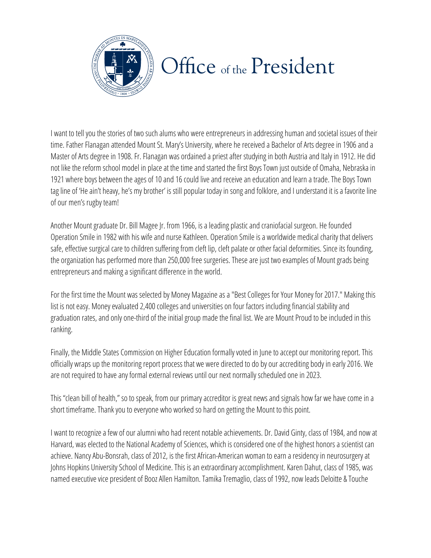

I want to tell you the stories of two such alums who were entrepreneurs in addressing human and societal issues of their time. Father Flanagan attended Mount St. Mary's University, where he received a Bachelor of Arts degree in 1906 and a Master of Arts degree in 1908. Fr. Flanagan was ordained a priest after studying in both Austria and Italy in 1912. He did not like the reform school model in place at the time and started the first Boys Town just outside of Omaha, Nebraska in 1921 where boys between the ages of 10 and 16 could live and receive an education and learn a trade. The Boys Town tag line of 'He ain't heavy, he's my brother' is still popular today in song and folklore, and I understand it is a favorite line of our men's rugby team!

Another Mount graduate Dr. Bill Magee Jr. from 1966, is a leading plastic and craniofacial surgeon. He founded Operation Smile in 1982 with his wife and nurse Kathleen. Operation Smile is a worldwide medical charity that delivers safe, effective surgical care to children suffering from cleft lip, cleft palate or other facial deformities. Since its founding, the organization has performed more than 250,000 free surgeries. These are just two examples of Mount grads being entrepreneurs and making a significant difference in the world.

For the first time the Mount was selected by Money Magazine as a "Best Colleges for Your Money for 2017." Making this list is not easy. Money evaluated 2,400 colleges and universities on four factors including financial stability and graduation rates, and only one-third of the initial group made the final list. We are Mount Proud to be included in this ranking.

Finally, the Middle States Commission on Higher Education formally voted in June to accept our monitoring report. This officially wraps up the monitoring report process that we were directed to do by our accrediting body in early 2016. We are not required to have any formal external reviews until our next normally scheduled one in 2023.

This "clean bill of health," so to speak, from our primary accreditor is great news and signals how far we have come in a short timeframe. Thank you to everyone who worked so hard on getting the Mount to this point.

Harvard, was elected to the National Academy of Sciences, which is considered one of the highest honors a scientist can Johns Hopkins University School of Medicine. This is an extraordinary accomplishment. Karen Dahut, class of 1985, was I want to recognize a few of our alumni who had recent notable achievements. Dr. David Ginty, class of 1984, and now at achieve. Nancy Abu-Bonsrah, class of 2012, is the first African-American woman to earn a residency in neurosurgery at named executive vice president of Booz Allen Hamilton. Tamika Tremaglio, class of 1992, now leads Deloitte & Touche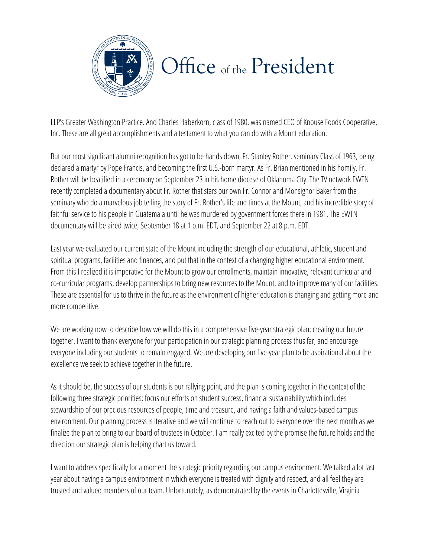

LLP's Greater Washington Practice. And Charles Haberkorn, class of 1980, was named CEO of Knouse Foods Cooperative, Inc. These are all great accomplishments and a testament to what you can do with a Mount education.

But our most significant alumni recognition has got to be hands down, Fr. Stanley Rother, seminary Class of 1963, being declared a martyr by Pope Francis, and becoming the first U.S.-born martyr. As Fr. Brian mentioned in his homily, Fr. Rother will be beatified in a ceremony on September 23 in his home diocese of Oklahoma City. The TV network EWTN recently completed a documentary about Fr. Rother that stars our own Fr. Connor and Monsignor Baker from the seminary who do a marvelous job telling the story of Fr. Rother's life and times at the Mount, and his incredible story of faithful service to his people in Guatemala until he was murdered by government forces there in 1981. The EWTN documentary will be aired twice, September 18 at 1 p.m. EDT, and September 22 at 8 p.m. EDT.

Last year we evaluated our current state of the Mount including the strength of our educational, athletic, student and spiritual programs, facilities and finances, and put that in the context of a changing higher educational environment. From this I realized it is imperative for the Mount to grow our enrollments, maintain innovative, relevant curricular and co-curricular programs, develop partnerships to bring new resources to the Mount, and to improve many of our facilities. These are essential for us to thrive in the future as the environment of higher education is changing and getting more and more competitive.

We are working now to describe how we will do this in a comprehensive five-year strategic plan; creating our future together. I want to thank everyone for your participation in our strategic planning process thus far, and encourage everyone including our students to remain engaged. We are developing our five-year plan to be aspirational about the excellence we seek to achieve together in the future.

As it should be, the success of our students is our rallying point, and the plan is coming together in the context of the following three strategic priorities: focus our efforts on student success, financial sustainability which includes stewardship of our precious resources of people, time and treasure, and having afaith and values-based campus environment. Our planning process is iterative and we will continue to reach out to everyone over the next month as we finalize the plan to bring to our board of trustees in October. I am really excited by the promise the future holds and the direction our strategic plan is helping chart us toward.

I want to address specifically for a moment the strategic priority regarding our campus environment. We talked a lot last year about having a campus environment in which everyone is treated with dignity and respect, and all feel they are trusted and valued members of our team. Unfortunately, as demonstrated by the events in Charlottesville, Virginia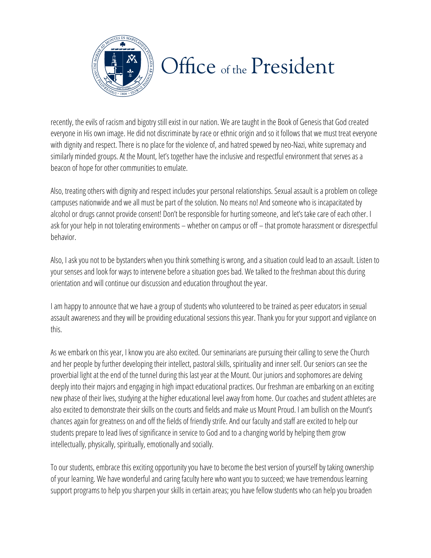

recently, the evils of racism and bigotry still exist in our nation. We are taught in the Book of Genesis that God created everyone in His own image. He did not discriminate by race or ethnic origin and so it follows that we must treat everyone with dignity and respect. There is no place for the violence of, and hatred spewed by neo-Nazi, white supremacy and similarly minded groups.At the Mount, let's together have the inclusive and respectful environment that serves as a beacon of hope for other communities to emulate.

Also, treating others with dignity and respect includes your personal relationships. Sexual assault is a problem on college campuses nationwide and we all must be part of the solution. No means no! And someone who is incapacitated by alcohol or drugs cannot provide consent! Don't be responsible for hurting someone, and let's take care of each other. I ask for your help in not tolerating environments – whether on campus or off – that promote harassment or disrespectful behavior.

Also, I ask you not to be bystanders when you think something is wrong, and a situation could lead to an assault. Listen to your senses and look for ways to intervene before a situation goes bad. We talked to the freshman about this during orientation and will continue our discussion and education throughout the year.

I am happy to announce that we have a group of students who volunteered to be trained as peer educators in sexual assault awareness and they will be providing educational sessions this year. Thank you for your support and vigilance on this.

As we embark on this year, I know you are also excited. Our seminarians are pursuing their calling to serve the Church and her people by further developing their intellect, pastoral skills, spirituality and inner self. Our seniors can see the proverbial light at the end of the tunnel during this last year at the Mount. Our juniors and sophomores are delving deeply into their majors and engaging in high impact educational practices. Our freshman are embarking on an exciting new phase of their lives, studying at the higher educational level away from home. Our coaches and student athletes are also excited to demonstrate their skills on the courts and fields and make us Mount Proud. I am bullish on the Mount's chances again for greatness on and off the fields of friendly strife. And our faculty and staff are excited to help our students prepare to lead lives of significance in service to God and to a changing world by helping them grow intellectually, physically, spiritually, emotionally and socially.

To our students, embrace this exciting opportunity you have to become the best version of yourself by taking ownership of your learning. We have wonderful and caring faculty here who want you to succeed; we have tremendous learning support programs to help you sharpen your skills in certain areas; you have fellow students who can help you broaden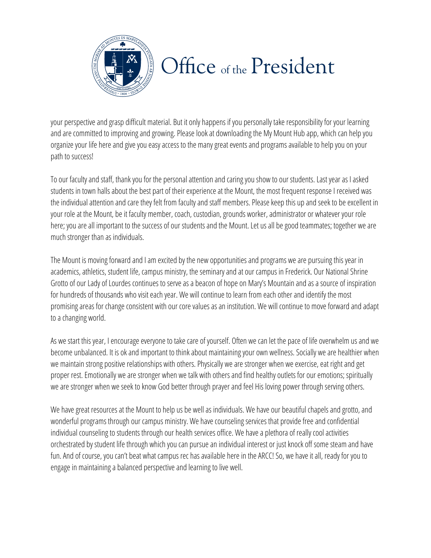

your perspective and grasp difficult material. But it only happens if you personally take responsibility for your learning and are committed to improving and growing. Please look at downloading the My Mount Hub app, which can help you organize your life here and give you easy access to the many great events and programs available to help you on your path to success!

To our faculty and staff, thank you for the personal attention and caring you show to our students. Last year as I asked students in town halls about the best part of their experience at the Mount, the most frequent response I received was the individual attention and care they felt from faculty and staff members. Please keep this up and seek to be excellent in your role at the Mount, be it faculty member, coach, custodian, grounds worker, administrator or whatever your role here; you are all important to the success of our students and the Mount. Let us all be good teammates; together we are much stronger than as individuals.

The Mount is moving forward and I am excited by the new opportunities and programs we are pursuing this year in academics, athletics, student life, campus ministry, the seminary and at our campus in Frederick. Our National Shrine Grotto of our Lady of Lourdes continues to serve as a beacon of hope on Mary's Mountain and as a source of inspiration for hundreds of thousands who visit each year. We will continue to learn from each other and identify the most promising areas for change consistent with our core values as an institution. We will continue to move forward and adapt to a changing world.

As we start this year, I encourage everyone to take care of yourself. Often we can let the pace of life overwhelm us and we become unbalanced. It is ok and important to think about maintaining your own wellness. Socially we are healthier when we maintain strong positive relationships with others. Physically we are stronger when we exercise, eat right and get proper rest. Emotionally we are stronger when we talk with others and find healthy outlets for our emotions; spiritually we are stronger when we seek to know God better through prayer and feel His loving power through serving others.

orchestrated by student life through which you can pursue an individual interest or just knock off some steam and have engage in maintaining a balanced perspective and learning to live well. We have great resources at the Mount to help us be well as individuals. We have our beautiful chapels and grotto, and wonderful programs through our campus ministry. We have counseling services that provide free and confidential individual counseling to students through our health services office. We have a plethora of really cool activities fun. And of course, you can't beat what campus rec has available here in the ARCC! So, we have it all, ready for you to